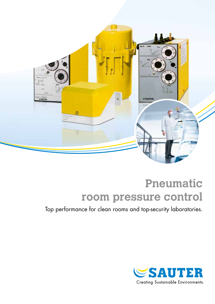

# **Pneumatic room pressure control**

Top performance for clean rooms and top-security laboratories.

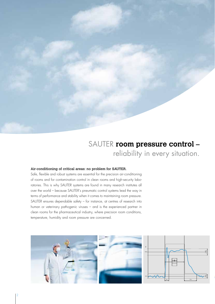

### SAUTER **room pressure control –** reliability in every situation.

#### Air-conditioning of critical areas: no problem for SAUTER.

Safe, flexible and robust systems are essential for the precision air-conditioning of rooms and for contamination control in clean rooms and high-security laboratories. This is why SAUTER systems are found in many research institutes all over the world – because SAUTER's pneumatic control systems lead the way in terms of performance and stability when it comes to maintaining room pressure. SAUTER ensures dependable safety – for instance, at centres of research into human or veterinary pathogenic viruses – and is the experienced partner in clean rooms for the pharmaceutical industry, where precision room conditions, temperature, humidity and room pressure are concerned.

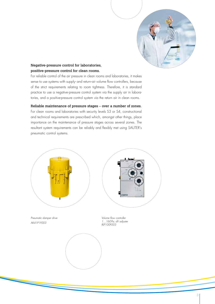

#### Negative-pressure control for laboratories, positive-pressure control for clean rooms.

For reliable control of the air pressure in clean rooms and laboratories, it makes sense to use systems with supply- and return-air volume flow controllers, because of the strict requirements relating to room tightness. Therefore, it is standard practice to use a negative-pressure control system via the supply air in laboratories, and a positive-pressure control system via the return air in clean rooms.

Reliable maintenance of pressure stages – over a number of zones.

For clean rooms and laboratories with security levels S3 or S4, constructional and technical requirements are prescribed which, amongst other things, place importance on the maintenance of pressure stages across several zones. The resultant system requirements can be reliably and flexibly met using SAUTER's pneumatic control systems.

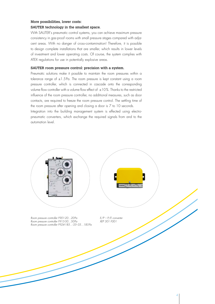### More possibilities, lower costs:

#### SAUTER technology in the smallest space.

With SAUTER's pneumatic control systems, you can achieve maximum pressure consistency in gas-proof rooms with small pressure stages compared with adjacent areas. With no danger of cross-contamination! Therefore, it is possible to design complete installations that are smaller, which results in lower levels of investment and lower operating costs. Of course, the system complies with ATEX regulations for use in potentially explosive areas.

#### SAUTER room pressure control: precision with a system.

Pneumatic solutions make it possible to maintain the room pressures within a tolerance range of  $\pm 1.5$  Pa. The room pressure is kept constant using a room pressure controller, which is connected in cascade onto the corresponding volume flow controller with a volume flow effect of  $\pm$ 10%. Thanks to the restricted influence of the room pressure controller, no additional measures, such as door contacts, are required to freeze the room pressure control. The settling time of the room pressure after opening and closing a door is 7 to 10 seconds.

Integration into the building management system is effected using electropneumatic converters, which exchange the required signals from and to the automation level.

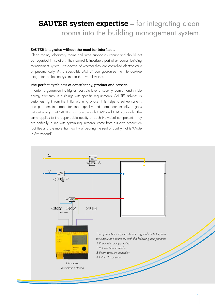## **SAUTER system expertise –** for integrating clean rooms into the building management system.

#### SAUTER integrates without the need for interfaces.

Clean rooms, laboratory rooms and fume cupboards cannot and should not be regarded in isolation. Their control is invariably part of an overall building management system, irrespective of whether they are controlled electronically or pneumatically. As a specialist, SAUTER can guarantee the interface-free integration of the sub-system into the overall system.

#### The perfect symbiosis of consultancy, product and service.

In order to guarantee the highest possible level of security, comfort and visible energy efficiency in buildings with specific requirements, SAUTER advises its customers right from the initial planning phase. This helps to set up systems and put them into operation more quickly and more economically. It goes without saying that SAUTER can comply with GMP and FDA standards. The same applies to the dependable quality of each individual component. They are perfectly in line with system requirements, come from our own production facilities and are more than worthy of bearing the seal of quality that is 'Made in Switzerland'.